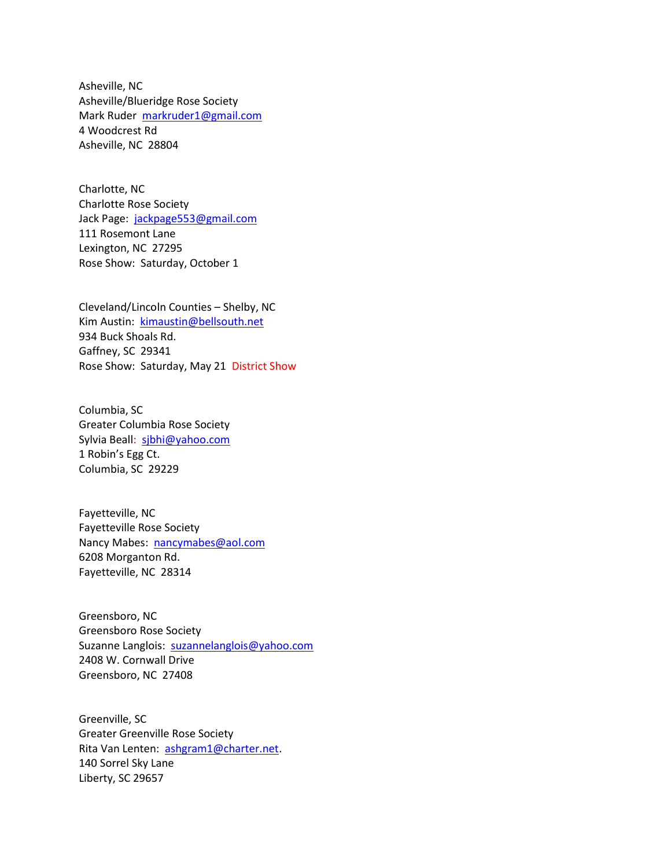Asheville, NC Asheville/Blueridge Rose Society Mark Ruder markruder1@gmail.com 4 Woodcrest Rd Asheville, NC 28804

Charlotte, NC Charlotte Rose Society Jack Page: jackpage553@gmail.com 111 Rosemont Lane Lexington, NC 27295 Rose Show: Saturday, October 1

Cleveland/Lincoln Counties – Shelby, NC Kim Austin: kimaustin@bellsouth.net 934 Buck Shoals Rd. Gaffney, SC 29341 Rose Show: Saturday, May 21 District Show

Columbia, SC Greater Columbia Rose Society Sylvia Beall: sibhi@yahoo.com 1 Robin's Egg Ct. Columbia, SC 29229

Fayetteville, NC Fayetteville Rose Society Nancy Mabes: nancymabes@aol.com 6208 Morganton Rd. Fayetteville, NC 28314

Greensboro, NC Greensboro Rose Society Suzanne Langlois: suzannelanglois@yahoo.com 2408 W. Cornwall Drive Greensboro, NC 27408

Greenville, SC Greater Greenville Rose Society Rita Van Lenten: ashgram1@charter.net. 140 Sorrel Sky Lane Liberty, SC 29657